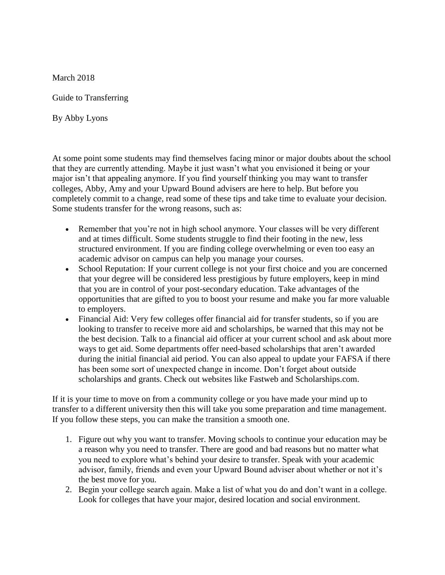March 2018

Guide to Transferring

By Abby Lyons

At some point some students may find themselves facing minor or major doubts about the school that they are currently attending. Maybe it just wasn't what you envisioned it being or your major isn't that appealing anymore. If you find yourself thinking you may want to transfer colleges, Abby, Amy and your Upward Bound advisers are here to help. But before you completely commit to a change, read some of these tips and take time to evaluate your decision. Some students transfer for the wrong reasons, such as:

- Remember that you're not in high school anymore. Your classes will be very different and at times difficult. Some students struggle to find their footing in the new, less structured environment. If you are finding college overwhelming or even too easy an academic advisor on campus can help you manage your courses.
- School Reputation: If your current college is not your first choice and you are concerned that your degree will be considered less prestigious by future employers, keep in mind that you are in control of your post-secondary education. Take advantages of the opportunities that are gifted to you to boost your resume and make you far more valuable to employers.
- Financial Aid: Very few colleges offer financial aid for transfer students, so if you are looking to transfer to receive more aid and scholarships, be warned that this may not be the best decision. Talk to a financial aid officer at your current school and ask about more ways to get aid. Some departments offer need-based scholarships that aren't awarded during the initial financial aid period. You can also appeal to update your FAFSA if there has been some sort of unexpected change in income. Don't forget about outside scholarships and grants. Check out websites like Fastweb and Scholarships.com.

If it is your time to move on from a community college or you have made your mind up to transfer to a different university then this will take you some preparation and time management. If you follow these steps, you can make the transition a smooth one.

- 1. Figure out why you want to transfer. Moving schools to continue your education may be a reason why you need to transfer. There are good and bad reasons but no matter what you need to explore what's behind your desire to transfer. Speak with your academic advisor, family, friends and even your Upward Bound adviser about whether or not it's the best move for you.
- 2. Begin your college search again. Make a list of what you do and don't want in a college. Look for colleges that have your major, desired location and social environment.